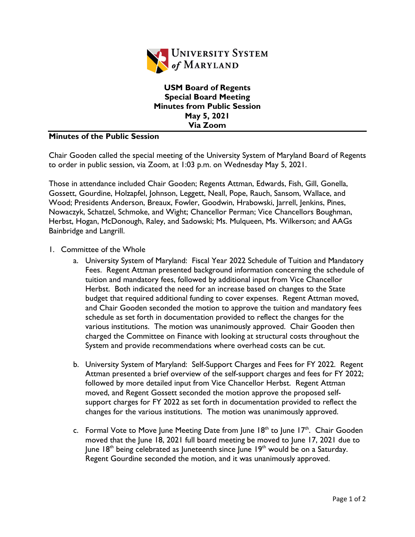

**USM Board of Regents Special Board Meeting Minutes from Public Session May 5, 2021 Via Zoom**

## **Minutes of the Public Session**

Chair Gooden called the special meeting of the University System of Maryland Board of Regents to order in public session, via Zoom, at 1:03 p.m. on Wednesday May 5, 2021.

Those in attendance included Chair Gooden; Regents Attman, Edwards, Fish, Gill, Gonella, Gossett, Gourdine, Holzapfel, Johnson, Leggett, Neall, Pope, Rauch, Sansom, Wallace, and Wood; Presidents Anderson, Breaux, Fowler, Goodwin, Hrabowski, Jarrell, Jenkins, Pines, Nowaczyk, Schatzel, Schmoke, and Wight; Chancellor Perman; Vice Chancellors Boughman, Herbst, Hogan, McDonough, Raley, and Sadowski; Ms. Mulqueen, Ms. Wilkerson; and AAGs Bainbridge and Langrill.

- 1. Committee of the Whole
	- a. University System of Maryland: Fiscal Year 2022 Schedule of Tuition and Mandatory Fees. Regent Attman presented background information concerning the schedule of tuition and mandatory fees, followed by additional input from Vice Chancellor Herbst. Both indicated the need for an increase based on changes to the State budget that required additional funding to cover expenses. Regent Attman moved, and Chair Gooden seconded the motion to approve the tuition and mandatory fees schedule as set forth in documentation provided to reflect the changes for the various institutions. The motion was unanimously approved. Chair Gooden then charged the Committee on Finance with looking at structural costs throughout the System and provide recommendations where overhead costs can be cut.
	- b. University System of Maryland: Self-Support Charges and Fees for FY 2022. Regent Attman presented a brief overview of the self-support charges and fees for FY 2022; followed by more detailed input from Vice Chancellor Herbst. Regent Attman moved, and Regent Gossett seconded the motion approve the proposed selfsupport charges for FY 2022 as set forth in documentation provided to reflect the changes for the various institutions. The motion was unanimously approved.
	- c. Formal Vote to Move June Meeting Date from June  $18<sup>th</sup>$  to June  $17<sup>th</sup>$ . Chair Gooden moved that the June 18, 2021 full board meeting be moved to June 17, 2021 due to June  $18<sup>th</sup>$  being celebrated as Juneteenth since June  $19<sup>th</sup>$  would be on a Saturday. Regent Gourdine seconded the motion, and it was unanimously approved.